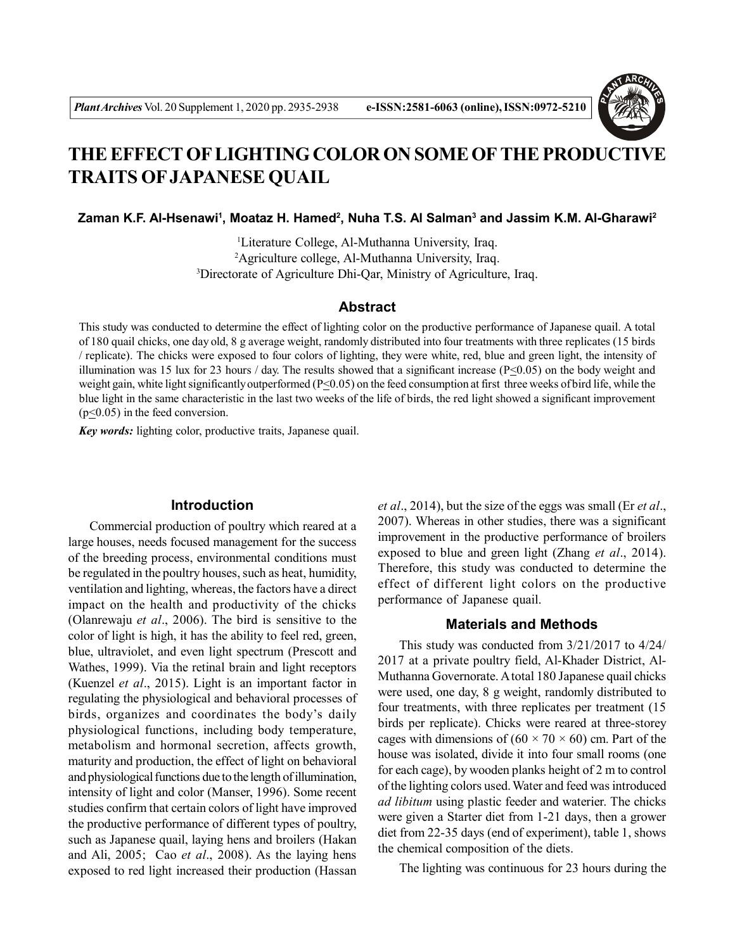

# **THE EFFECT OF LIGHTING COLOR ON SOME OF THE PRODUCTIVE TRAITS OF JAPANESE QUAIL**

**Zaman K.F. Al-Hsenawi<sup>1</sup> , Moataz H. Hamed<sup>2</sup> , Nuha T.S. Al Salman<sup>3</sup> and Jassim K.M. Al-Gharawi<sup>2</sup>**

<sup>1</sup>Literature College, Al-Muthanna University, Iraq. <sup>2</sup>Agriculture college, Al-Muthanna University, Iraq. <sup>3</sup>Directorate of Agriculture Dhi-Qar, Ministry of Agriculture, Iraq.

#### **Abstract**

This study was conducted to determine the effect of lighting color on the productive performance of Japanese quail. A total of 180 quail chicks, one day old, 8 g average weight, randomly distributed into four treatments with three replicates (15 birds / replicate). The chicks were exposed to four colors of lighting, they were white, red, blue and green light, the intensity of illumination was 15 lux for 23 hours / day. The results showed that a significant increase  $(P<0.05)$  on the body weight and weight gain, white light significantly outperformed (P
\epsel 0.05) on the feed consumption at first three weeks of bird life, while the blue light in the same characteristic in the last two weeks of the life of birds, the red light showed a significant improvement (p<0.05) in the feed conversion.

*Key words:* lighting color, productive traits, Japanese quail.

## **Introduction**

Commercial production of poultry which reared at a large houses, needs focused management for the success of the breeding process, environmental conditions must be regulated in the poultry houses, such as heat, humidity, ventilation and lighting, whereas, the factors have a direct impact on the health and productivity of the chicks (Olanrewaju *et al*., 2006). The bird is sensitive to the color of light is high, it has the ability to feel red, green, blue, ultraviolet, and even light spectrum (Prescott and Wathes, 1999). Via the retinal brain and light receptors (Kuenzel *et al*., 2015). Light is an important factor in regulating the physiological and behavioral processes of birds, organizes and coordinates the body's daily physiological functions, including body temperature, metabolism and hormonal secretion, affects growth, maturity and production, the effect of light on behavioral and physiological functions due to the length of illumination, intensity of light and color (Manser, 1996). Some recent studies confirm that certain colors of light have improved the productive performance of different types of poultry, such as Japanese quail, laying hens and broilers (Hakan and Ali, 2005; Cao *et al*., 2008). As the laying hens exposed to red light increased their production (Hassan

*et al*., 2014), but the size of the eggs was small (Er *et al*., 2007). Whereas in other studies, there was a significant improvement in the productive performance of broilers exposed to blue and green light (Zhang *et al*., 2014). Therefore, this study was conducted to determine the effect of different light colors on the productive performance of Japanese quail.

#### **Materials and Methods**

This study was conducted from 3/21/2017 to 4/24/ 2017 at a private poultry field, Al-Khader District, Al-Muthanna Governorate. A total 180 Japanese quail chicks were used, one day, 8 g weight, randomly distributed to four treatments, with three replicates per treatment (15 birds per replicate). Chicks were reared at three-storey cages with dimensions of  $(60 \times 70 \times 60)$  cm. Part of the house was isolated, divide it into four small rooms (one for each cage), by wooden planks height of 2 m to control of the lighting colors used. Water and feed was introduced *ad libitum* using plastic feeder and waterier. The chicks were given a Starter diet from 1-21 days, then a grower diet from 22-35 days (end of experiment), table 1, shows the chemical composition of the diets.

The lighting was continuous for 23 hours during the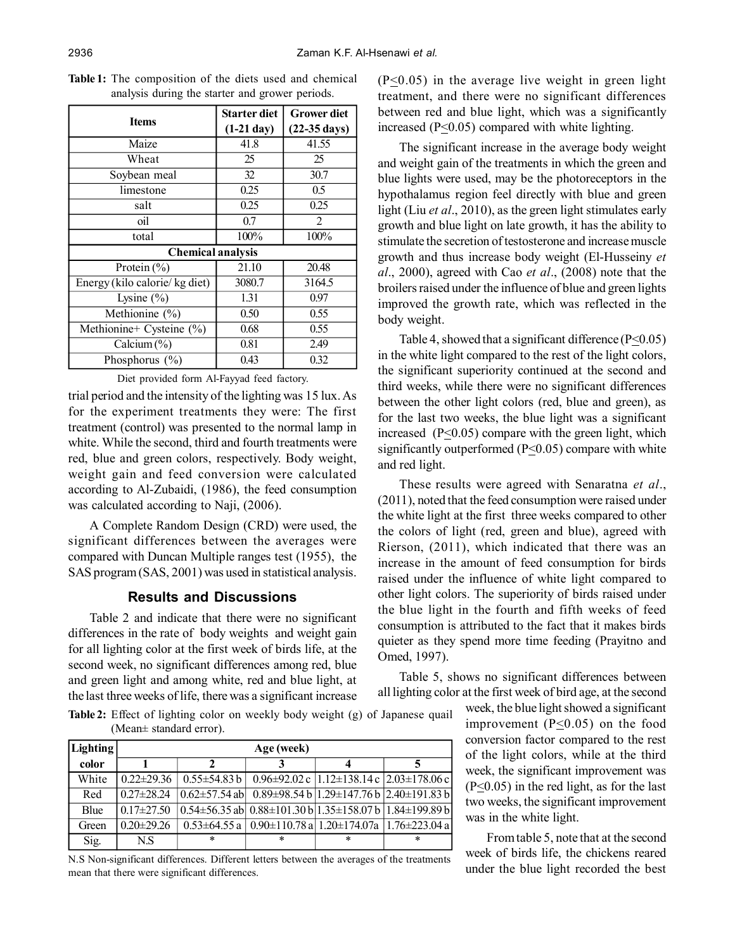|                               | <b>Starter diet</b> | <b>Grower diet</b>     |  |  |  |
|-------------------------------|---------------------|------------------------|--|--|--|
| <b>Items</b>                  | $(1-21)$ day)       | $(22-35 \text{ days})$ |  |  |  |
| Maize                         | 41.8                | 41.55                  |  |  |  |
| Wheat                         | 25                  | 25                     |  |  |  |
| Soybean meal                  | 32                  | 30.7                   |  |  |  |
| limestone                     | 0.25                | 0.5                    |  |  |  |
| salt                          | 0.25                | 0.25                   |  |  |  |
| oil                           | 0.7                 | $\overline{2}$         |  |  |  |
| total                         | 100%                | 100%                   |  |  |  |
| <b>Chemical analysis</b>      |                     |                        |  |  |  |
| Protein $(\% )$               | 21.10               | 20.48                  |  |  |  |
| Energy (kilo calorie/kg diet) | 3080.7              | 3164.5                 |  |  |  |
| Lysine $(\% )$                | 1.31                | 0.97                   |  |  |  |
| Methionine (%)                | 0.50                | 0.55                   |  |  |  |
| Methionine+ Cysteine (%)      | 0.68                | 0.55                   |  |  |  |
| Calcium $(\% )$               | 0.81                | 2.49                   |  |  |  |
| Phosphorus $(\% )$            | 0.43                | 0.32                   |  |  |  |

**Table 1:** The composition of the diets used and chemical analysis during the starter and grower periods.

Diet provided form Al-Fayyad feed factory.

trial period and the intensity of the lighting was 15 lux. As for the experiment treatments they were: The first treatment (control) was presented to the normal lamp in white. While the second, third and fourth treatments were red, blue and green colors, respectively. Body weight, weight gain and feed conversion were calculated according to Al-Zubaidi, (1986), the feed consumption was calculated according to Naji, (2006).

A Complete Random Design (CRD) were used, the significant differences between the averages were compared with Duncan Multiple ranges test (1955), the SAS program (SAS, 2001) was used in statistical analysis.

### **Results and Discussions**

Table 2 and indicate that there were no significant differences in the rate of body weights and weight gain for all lighting color at the first week of birds life, at the second week, no significant differences among red, blue and green light and among white, red and blue light, at the last three weeks of life, there was a significant increase

**Table 2:** Effect of lighting color on weekly body weight (g) of Japanese quail (Mean± standard error).

| <b>Lighting</b> | Age (week)       |        |                                                                                                                              |        |   |  |  |
|-----------------|------------------|--------|------------------------------------------------------------------------------------------------------------------------------|--------|---|--|--|
| color           |                  | 2      |                                                                                                                              | 4      |   |  |  |
| White           | $0.22\pm 29.36$  |        | $0.55\pm54.83 \text{ b}$   $0.96\pm92.02 \text{ c}$  1.12 $\pm$ 138.14 c  2.03 $\pm$ 178.06 c                                |        |   |  |  |
| Red             | $0.27 \pm 28.24$ |        | $0.62\pm57.54$ ab $\left  0.89\pm98.54 \text{ b} \right $ $1.29\pm147.76 \text{ b}$ $\left  2.40\pm191.83 \text{ b} \right $ |        |   |  |  |
| <b>B</b> lue    | $1017 \pm 2750$  |        | $0.54\pm56.35$ ab $0.88\pm101.30$ b $1.35\pm158.07$ b $1.84\pm199.89$ b                                                      |        |   |  |  |
| Green           | $0.20 \pm 29.26$ |        | $0.53\pm64.55$ a $\vert 0.90\pm110.78$ a $\vert 1.20\pm174.07$ a $\vert 1.76\pm223.04$ a                                     |        |   |  |  |
| Sig.            | N.S              | $\ast$ | $\ast$                                                                                                                       | $\ast$ | * |  |  |

N.S Non-significant differences. Different letters between the averages of the treatments mean that there were significant differences.

 $(P \le 0.05)$  in the average live weight in green light treatment, and there were no significant differences between red and blue light, which was a significantly increased ( $P \le 0.05$ ) compared with white lighting.

The significant increase in the average body weight and weight gain of the treatments in which the green and blue lights were used, may be the photoreceptors in the hypothalamus region feel directly with blue and green light (Liu *et al*., 2010), as the green light stimulates early growth and blue light on late growth, it has the ability to stimulate the secretion of testosterone and increase muscle growth and thus increase body weight (El-Husseiny *et al*., 2000), agreed with Cao *et al*., (2008) note that the broilers raised under the influence of blue and green lights improved the growth rate, which was reflected in the body weight.

Table 4, showed that a significant difference  $(P \le 0.05)$ in the white light compared to the rest of the light colors, the significant superiority continued at the second and third weeks, while there were no significant differences between the other light colors (red, blue and green), as for the last two weeks, the blue light was a significant increased  $(P<0.05)$  compare with the green light, which significantly outperformed  $(P \le 0.05)$  compare with white and red light.

These results were agreed with Senaratna *et al*., (2011), noted that the feed consumption were raised under the white light at the first three weeks compared to other the colors of light (red, green and blue), agreed with Rierson, (2011), which indicated that there was an increase in the amount of feed consumption for birds raised under the influence of white light compared to other light colors. The superiority of birds raised under the blue light in the fourth and fifth weeks of feed consumption is attributed to the fact that it makes birds quieter as they spend more time feeding (Prayitno and Omed, 1997).

Table 5, shows no significant differences between all lighting color at the first week of bird age, at the second

> week, the blue light showed a significant improvement ( $P \le 0.05$ ) on the food conversion factor compared to the rest of the light colors, while at the third week, the significant improvement was (P<0.05) in the red light, as for the last two weeks, the significant improvement was in the white light.

> From table 5, note that at the second week of birds life, the chickens reared under the blue light recorded the best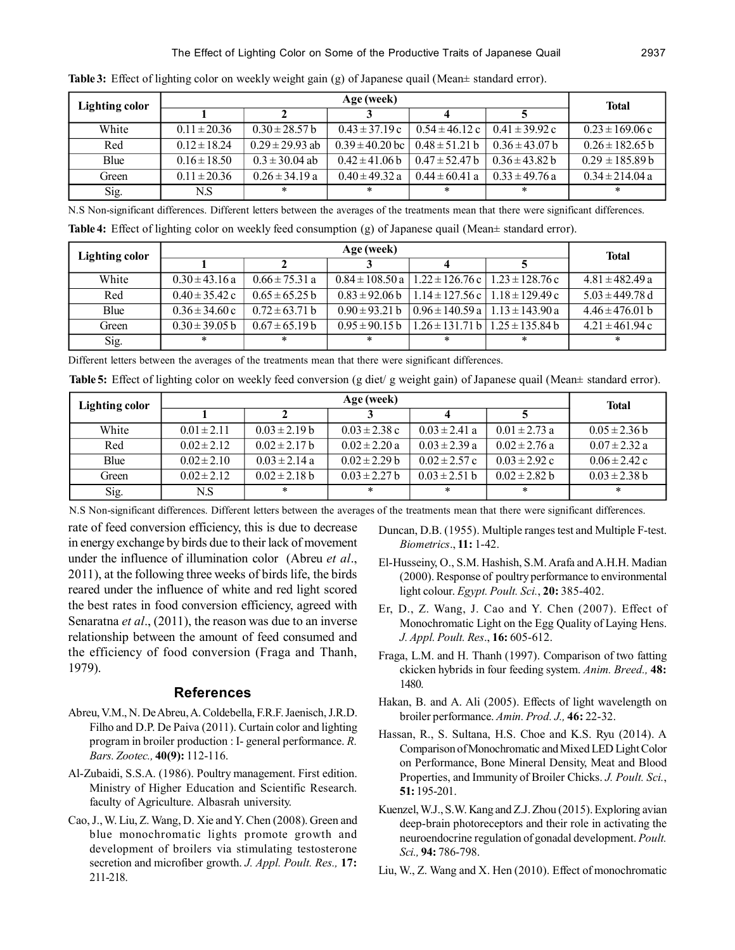| <b>Lighting color</b> | Age (week)       |                     |                     |                    |                    | <b>Total</b>        |
|-----------------------|------------------|---------------------|---------------------|--------------------|--------------------|---------------------|
|                       |                  |                     |                     |                    |                    |                     |
| White                 | $0.11 \pm 20.36$ | $0.30 \pm 28.57$ b  | $0.43 \pm 37.19$ c  | $0.54 \pm 46.12$ c | $0.41 \pm 39.92$ c | $0.23 \pm 169.06$ c |
| Red                   | $0.12 \pm 18.24$ | $0.29 \pm 29.93$ ab | $0.39 \pm 40.20$ bc | $0.48 \pm 51.21$ b | $0.36 \pm 43.07$ b | $0.26 \pm 182.65$ b |
| Blue                  | $0.16 \pm 18.50$ | $0.3 \pm 30.04$ ab  | $0.42 \pm 41.06$ b  | $0.47 \pm 52.47$ b | $0.36 \pm 43.82$ b | $0.29 \pm 185.89$ b |
| Green                 | $0.11 \pm 20.36$ | $0.26 \pm 34.19 a$  | $0.40 \pm 49.32 a$  | $0.44 \pm 60.41$ a | $0.33 \pm 49.76 a$ | $0.34 \pm 214.04 a$ |
| Sig.                  | N.S              |                     | *                   |                    | $\ast$             |                     |

**Table 3:** Effect of lighting color on weekly weight gain (g) of Japanese quail (Mean± standard error).

N.S Non-significant differences. Different letters between the averages of the treatments mean that there were significant differences.

**Table 4:** Effect of lighting color on weekly feed consumption (g) of Japanese quail (Mean± standard error).

| Lighting color | Age (week)         |                    |                    |                                                                                             |                                                           | <b>Total</b>                |
|----------------|--------------------|--------------------|--------------------|---------------------------------------------------------------------------------------------|-----------------------------------------------------------|-----------------------------|
|                |                    |                    |                    |                                                                                             |                                                           |                             |
| White          | $0.30 \pm 43.16 a$ | $0.66 \pm 75.31 a$ |                    | $0.84 \pm 108.50 \text{ a} \cdot 1.22 \pm 126.76 \text{ c} \cdot 1.23 \pm 128.76 \text{ c}$ |                                                           | $4.81 \pm 482.49 a$         |
| Red            | $0.40 \pm 35.42$ c | $0.65 \pm 65.25$ b | $0.83 \pm 92.06$ b |                                                                                             | $1.14 \pm 127.56$ c $1.18 \pm 129.49$ c                   | $5.03 \pm 449.78$ d         |
| Blue           | $0.36 \pm 34.60$ c | $0.72 \pm 63.71 b$ | $0.90 \pm 93.21$ b | $(0.96 \pm 140.59 a)$ 1.13 $\pm$ 143.90 a                                                   |                                                           | $4.46 \pm 476.01 \text{ h}$ |
| Green          | $0.30 \pm 39.05$ b | $0.67 \pm 65.19$ b | $0.95 \pm 90.15$ b |                                                                                             | $1.26 \pm 131.71 \text{ h}$   $1.25 \pm 135.84 \text{ h}$ | $4.21 \pm 461.94$ c         |
| Sig.           | $\ast$             | $\ast$             | $\ast$             | *                                                                                           | *                                                         | $\ast$                      |

Different letters between the averages of the treatments mean that there were significant differences.

**Table 5:** Effect of lighting color on weekly feed conversion (g diet/ g weight gain) of Japanese quail (Mean± standard error).

| <b>Lighting color</b> | Age (week)      |                   |                   |                   |                   | Total             |
|-----------------------|-----------------|-------------------|-------------------|-------------------|-------------------|-------------------|
|                       |                 |                   |                   |                   |                   |                   |
| White                 | $0.01 \pm 2.11$ | $0.03 \pm 2.19$ b | $0.03 \pm 2.38$ c | $0.03 \pm 2.41$ a | $0.01 \pm 2.73$ a | $0.05 \pm 2.36$ b |
| Red                   | $0.02 \pm 2.12$ | $0.02 \pm 2.17$ b | $0.02 \pm 2.20 a$ | $0.03 \pm 2.39 a$ | $0.02 \pm 2.76$ a | $0.07 \pm 2.32$ a |
| <b>B</b> lue          | $0.02 \pm 2.10$ | $0.03 \pm 2.14$ a | $0.02 \pm 2.29 b$ | $0.02 \pm 2.57$ c | $0.03 \pm 2.92$ c | $0.06 \pm 2.42$ c |
| Green                 | $0.02 \pm 2.12$ | $0.02 \pm 2.18$ b | $0.03 \pm 2.27$ b | $0.03 \pm 2.51$ b | $0.02 \pm 2.82$ b | $0.03 \pm 2.38$ b |
| Sig.                  | N.S             | $\ast$            | $\ast$            | $\ast$            | *                 | $\ast$            |

N.S Non-significant differences. Different letters between the averages of the treatments mean that there were significant differences.

rate of feed conversion efficiency, this is due to decrease in energy exchange by birds due to their lack of movement under the influence of illumination color (Abreu *et al*., 2011), at the following three weeks of birds life, the birds reared under the influence of white and red light scored the best rates in food conversion efficiency, agreed with Senaratna *et al*., (2011), the reason was due to an inverse relationship between the amount of feed consumed and the efficiency of food conversion (Fraga and Thanh, 1979).

## **References**

- Abreu, V.M., N. De Abreu, A. Coldebella, F.R.F. Jaenisch, J.R.D. Filho and D.P. De Paiva (2011). Curtain color and lighting program in broiler production : I- general performance. *R. Bars. Zootec.,* **40(9):** 112-116.
- Al-Zubaidi, S.S.A. (1986). Poultry management. First edition. Ministry of Higher Education and Scientific Research. faculty of Agriculture. Albasrah university.
- Cao, J., W. Liu, Z. Wang, D. Xie and Y. Chen (2008). Green and blue monochromatic lights promote growth and development of broilers via stimulating testosterone secretion and microfiber growth. *J. Appl. Poult. Res.,* **17:** 211-218.
- Duncan, D.B. (1955). Multiple ranges test and Multiple F-test. *Biometrics*., **11:** 1-42.
- El-Husseiny, O., S.M. Hashish, S.M. Arafa and A.H.H. Madian (2000). Response of poultry performance to environmental light colour. *Egypt. Poult. Sci.*, **20:** 385-402.
- Er, D., Z. Wang, J. Cao and Y. Chen (2007). Effect of Monochromatic Light on the Egg Quality of Laying Hens. *J. Appl. Poult. Res*., **16:** 605-612.
- Fraga, L.M. and H. Thanh (1997). Comparison of two fatting ckicken hybrids in four feeding system. *Anim. Breed.,* **48:** 1480.
- Hakan, B. and A. Ali (2005). Effects of light wavelength on broiler performance. *Amin. Prod. J.,* **46:** 22-32.
- Hassan, R., S. Sultana, H.S. Choe and K.S. Ryu (2014). A Comparison of Monochromatic and Mixed LED Light Color on Performance, Bone Mineral Density, Meat and Blood Properties, and Immunity of Broiler Chicks. *J. Poult. Sci.*, **51:** 195-201.
- Kuenzel, W.J., S.W. Kang and Z.J. Zhou (2015). Exploring avian deep-brain photoreceptors and their role in activating the neuroendocrine regulation of gonadal development. *Poult. Sci.,* **94:** 786-798.
- Liu, W., Z. Wang and X. Hen (2010). Effect of monochromatic